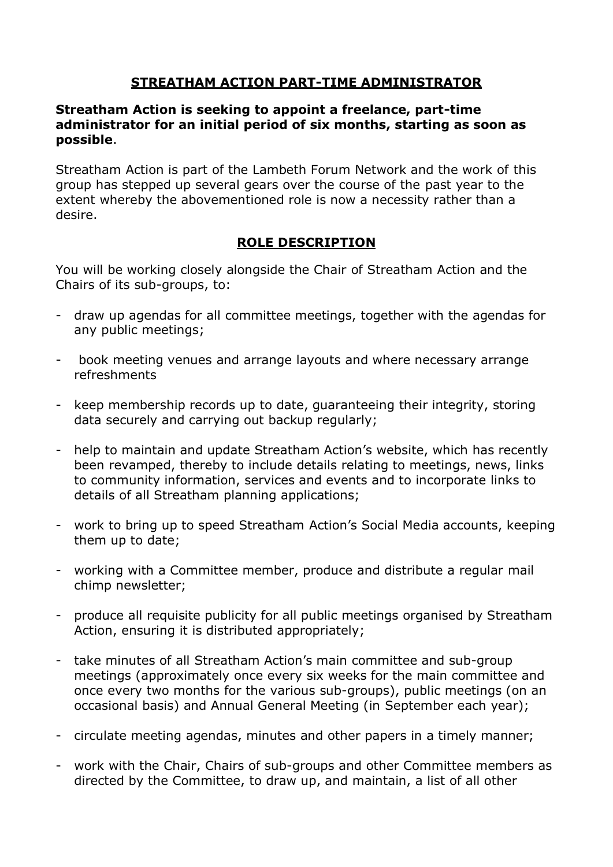## **STREATHAM ACTION PART-TIME ADMINISTRATOR**

#### **Streatham Action is seeking to appoint a freelance, part-time administrator for an initial period of six months, starting as soon as possible**.

Streatham Action is part of the Lambeth Forum Network and the work of this group has stepped up several gears over the course of the past year to the extent whereby the abovementioned role is now a necessity rather than a desire.

## **ROLE DESCRIPTION**

You will be working closely alongside the Chair of Streatham Action and the Chairs of its sub-groups, to:

- draw up agendas for all committee meetings, together with the agendas for any public meetings;
- book meeting venues and arrange layouts and where necessary arrange refreshments
- keep membership records up to date, guaranteeing their integrity, storing data securely and carrying out backup regularly;
- help to maintain and update Streatham Action's website, which has recently been revamped, thereby to include details relating to meetings, news, links to community information, services and events and to incorporate links to details of all Streatham planning applications;
- work to bring up to speed Streatham Action's Social Media accounts, keeping them up to date;
- working with a Committee member, produce and distribute a regular mail chimp newsletter;
- produce all requisite publicity for all public meetings organised by Streatham Action, ensuring it is distributed appropriately;
- take minutes of all Streatham Action's main committee and sub-group meetings (approximately once every six weeks for the main committee and once every two months for the various sub-groups), public meetings (on an occasional basis) and Annual General Meeting (in September each year);
- circulate meeting agendas, minutes and other papers in a timely manner;
- work with the Chair, Chairs of sub-groups and other Committee members as directed by the Committee, to draw up, and maintain, a list of all other